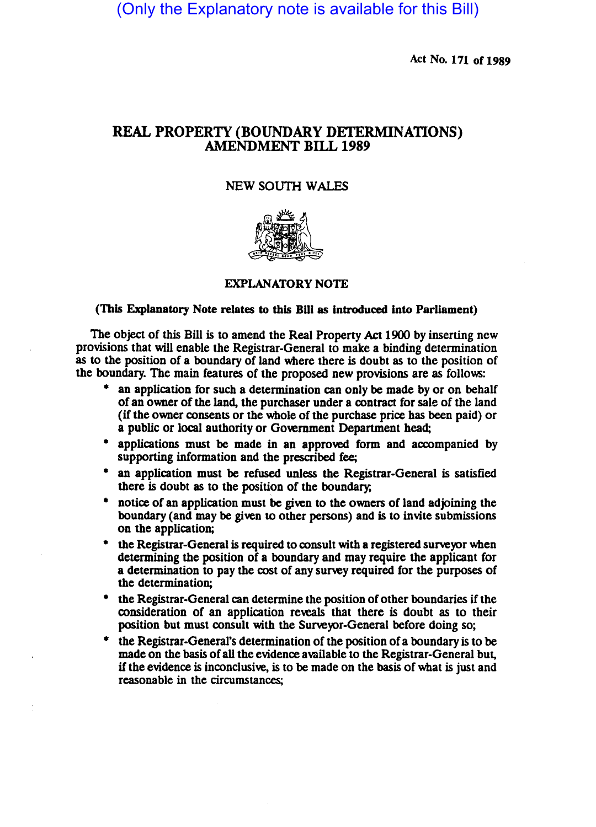(Only the Explanatory note is available for this Bill)

Act No. 171 of 1989

## REAL PROPERTY (BOUNDARY DETERMINATIONS) AMENDMENT BILL 1989

## NEW SOUTH WALES



## EXPLANATORY NOTE

## (This Explanatory Note relates to this BlIi as introduced into Parliament)

The Object of this Bill is to amend the Real Property Act 1900 by inserting new provisions that will enable the Registrar-General to make a binding determination as to the position of a boundary of land where there is doubt as to the position of the boundary. The main features of the proposed new provisions are as follows:

- an application for such a determination can only be made by or on behalf of an owner of the land, the purchaser under a contract for sale of the land (if the owner consents or the whole of the purchase price has been paid) or a public or local authority or Government Department head;
- applications must be made in an approved form and accompanied by supporting information and the prescribed fee;
- an application must be refused unless the Registrar-General is satisfied there is doubt as to the position of the boundary,
- notice of an application must be given to the owners of land adjoining the boundary (and may be given to other persons) and is to invite submissions on the application;
- the Registrar-General is required to consult with a registered surveyor when determining the position of a boundary and may require the applicant for a determination to pay the cost of any survey required for the purposes of the determination;
- the Registrar-General can determine the position of other boundaries if the consideration of an application reveals that there is doubt as to their position but must consult with the Surveyor-General before doing so;
- the Registrar-General's determination of the position of a boundary is to be made on the basis of all the evidence available to the Registrar-General but, if the evidence is inconclusive, is to be made on the basis of what is just and reasonable in the circumstances;